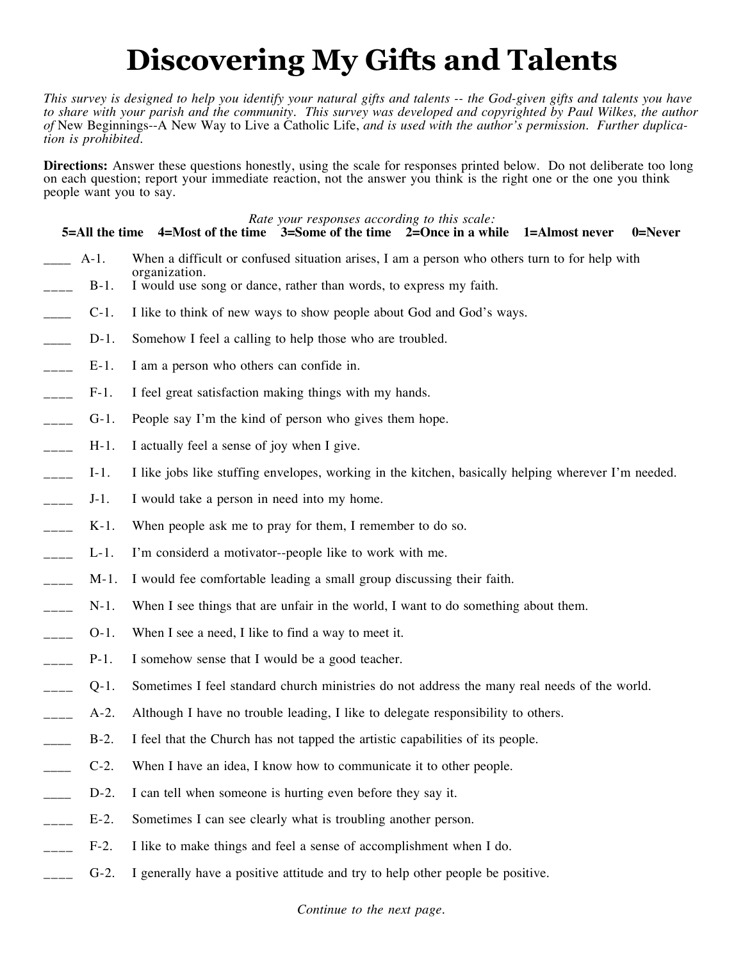# **Discovering My Gifts and Talents**

*This survey is designed to help you identify your natural gifts and talents -- the God-given gifts and talents you have*  to share with your parish and the community. This survey was developed and copyrighted by Paul Wilkes, the author *of* New Beginnings--A New Way to Live a Catholic Life, *and is used with the author's permission. Further duplication is prohibited.*

**Directions:** Answer these questions honestly, using the scale for responses printed below. Do not deliberate too long on each question; report your immediate reaction, not the answer you think is the right one or the one you think people want you to say.

|                          |         | Rate your responses according to this scale:<br>$5 =$ All the time 4=Most of the time $3 =$ Some of the time $2 =$ Once in a while 1=Almost never<br>$0 =$ Never |
|--------------------------|---------|------------------------------------------------------------------------------------------------------------------------------------------------------------------|
|                          | $A-1$ . | When a difficult or confused situation arises, I am a person who others turn to for help with                                                                    |
|                          | $B-1$ . | organization.<br>I would use song or dance, rather than words, to express my faith.                                                                              |
| $\overline{\phantom{a}}$ | $C-1$ . | I like to think of new ways to show people about God and God's ways.                                                                                             |
| $\overline{\phantom{a}}$ | $D-1$ . | Somehow I feel a calling to help those who are troubled.                                                                                                         |
| $\overline{\phantom{a}}$ | $E-1$ . | I am a person who others can confide in.                                                                                                                         |
| $\frac{1}{1}$            | $F-1$ . | I feel great satisfaction making things with my hands.                                                                                                           |
| $\frac{1}{1}$            | $G-1$ . | People say I'm the kind of person who gives them hope.                                                                                                           |
| $\frac{1}{1}$            | $H-1$ . | I actually feel a sense of joy when I give.                                                                                                                      |
| $\frac{1}{1}$            | $I-1$ . | I like jobs like stuffing envelopes, working in the kitchen, basically helping wherever I'm needed.                                                              |
| $\frac{1}{1}$            | $J-1$ . | I would take a person in need into my home.                                                                                                                      |
| $---$                    | $K-1$ . | When people ask me to pray for them, I remember to do so.                                                                                                        |
| $\frac{1}{1}$            | $L-1$ . | I'm considerd a motivator--people like to work with me.                                                                                                          |
| $\frac{1}{1}$            | $M-1$ . | I would fee comfortable leading a small group discussing their faith.                                                                                            |
| $\frac{1}{1}$            | $N-1$ . | When I see things that are unfair in the world, I want to do something about them.                                                                               |
| $\frac{1}{1}$            | $O-1$ . | When I see a need, I like to find a way to meet it.                                                                                                              |
| $\frac{1}{1}$            | $P-1$ . | I somehow sense that I would be a good teacher.                                                                                                                  |
| $\frac{1}{2}$            | $Q-1$ . | Sometimes I feel standard church ministries do not address the many real needs of the world.                                                                     |
|                          | $A-2$ . | Although I have no trouble leading, I like to delegate responsibility to others.                                                                                 |
|                          | $B-2$ . | I feel that the Church has not tapped the artistic capabilities of its people.                                                                                   |
|                          | $C-2$ . | When I have an idea, I know how to communicate it to other people.                                                                                               |
|                          | $D-2$ . | I can tell when someone is hurting even before they say it.                                                                                                      |
|                          | $E-2$ . | Sometimes I can see clearly what is troubling another person.                                                                                                    |
|                          | $F-2$ . | I like to make things and feel a sense of accomplishment when I do.                                                                                              |
|                          | $G-2$ . | I generally have a positive attitude and try to help other people be positive.                                                                                   |
|                          |         |                                                                                                                                                                  |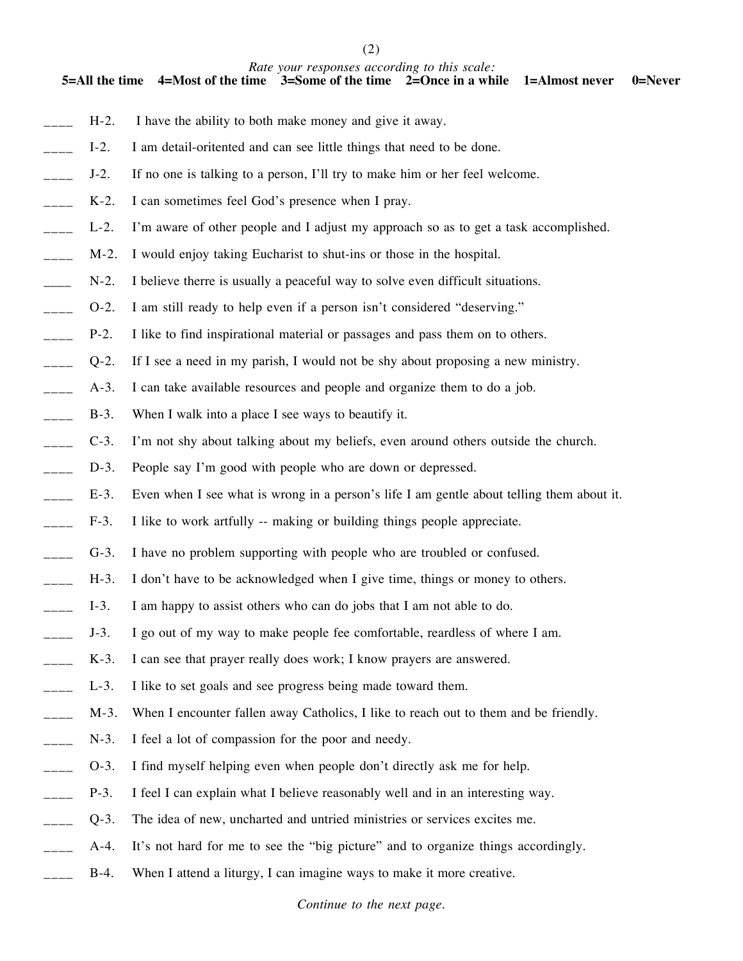(2)

#### *Rate your responses according to this scale:*

**5=All the time 4=Most of the time 3=Some of the time 2=Once in a while 1=Almost never 0=Never**

- H-2. I have the ability to both make money and give it away.
- I-2. I am detail-oritented and can see little things that need to be done.
- J-2. If no one is talking to a person, I'll try to make him or her feel welcome.
- K-2. I can sometimes feel God's presence when I pray.
- L-2. I'm aware of other people and I adjust my approach so as to get a task accomplished.
- M-2. I would enjoy taking Eucharist to shut-ins or those in the hospital.
- N-2. I believe therre is usually a peaceful way to solve even difficult situations.
- \_\_\_\_ O-2. I am still ready to help even if a person isn't considered "deserving."
- P-2. I like to find inspirational material or passages and pass them on to others.
- \_\_\_\_ Q-2. If I see a need in my parish, I would not be shy about proposing a new ministry.
- $\Box$  A-3. I can take available resources and people and organize them to do a job.
- \_\_\_\_ B-3. When I walk into a place I see ways to beautify it.
- \_\_\_\_ C-3. I'm not shy about talking about my beliefs, even around others outside the church.
- D-3. People say I'm good with people who are down or depressed.
- E-3. Even when I see what is wrong in a person's life I am gentle about telling them about it.
- F-3. I like to work artfully -- making or building things people appreciate.
- G-3. I have no problem supporting with people who are troubled or confused.
- H-3. I don't have to be acknowledged when I give time, things or money to others.
- $\Box$  I-3. I am happy to assist others who can do jobs that I am not able to do.
- $\Box$  J-3. I go out of my way to make people fee comfortable, reardless of where I am.
- K-3. I can see that prayer really does work; I know prayers are answered.
- L-3. I like to set goals and see progress being made toward them.
- M-3. When I encounter fallen away Catholics, I like to reach out to them and be friendly.
- N-3. I feel a lot of compassion for the poor and needy.
- \_\_\_\_ O-3. I find myself helping even when people don't directly ask me for help.
- P-3. I feel I can explain what I believe reasonably well and in an interesting way.
- \_\_\_\_ Q-3. The idea of new, uncharted and untried ministries or services excites me.
- A-4. It's not hard for me to see the "big picture" and to organize things accordingly.
- B-4. When I attend a liturgy, I can imagine ways to make it more creative.

*Continue to the next page.*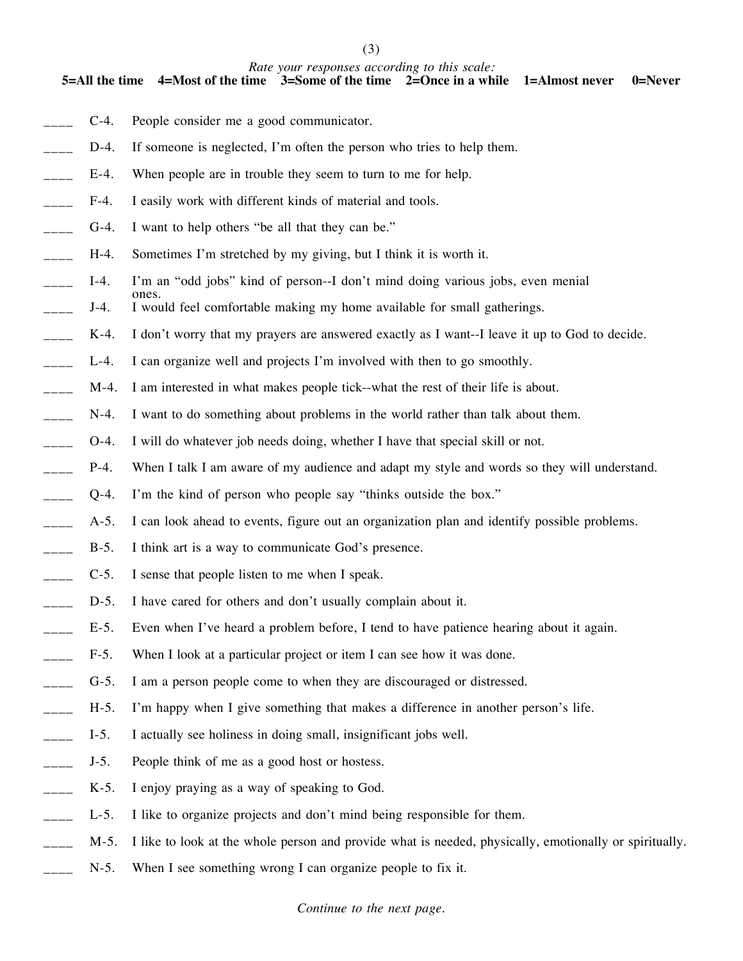(3)

### *Rate your responses according to this scale:*

**5=All the time 4=Most of the time 3=Some of the time 2=Once in a while 1=Almost never 0=Never**

- C-4. People consider me a good communicator.
- D-4. If someone is neglected, I'm often the person who tries to help them.
- E-4. When people are in trouble they seem to turn to me for help.
- F-4. I easily work with different kinds of material and tools.
- G-4. I want to help others "be all that they can be."

ones.

- H-4. Sometimes I'm stretched by my giving, but I think it is worth it.
- I-4. I'm an "odd jobs" kind of person--I don't mind doing various jobs, even menial
- J-4. I would feel comfortable making my home available for small gatherings.
- K-4. I don't worry that my prayers are answered exactly as I want--I leave it up to God to decide.
- L-4. I can organize well and projects I'm involved with then to go smoothly.
- \_\_\_\_ M-4. I am interested in what makes people tick--what the rest of their life is about.
- $\Box$  N-4. I want to do something about problems in the world rather than talk about them.
- \_\_\_\_ O-4. I will do whatever job needs doing, whether I have that special skill or not.
- P-4. When I talk I am aware of my audience and adapt my style and words so they will understand.
- \_\_\_\_ Q-4. I'm the kind of person who people say "thinks outside the box."
- A-5. I can look ahead to events, figure out an organization plan and identify possible problems.
- B-5. I think art is a way to communicate God's presence.
- \_\_\_\_ C-5. I sense that people listen to me when I speak.
- D-5. I have cared for others and don't usually complain about it.
- E-5. Even when I've heard a problem before, I tend to have patience hearing about it again.
- F-5. When I look at a particular project or item I can see how it was done.
- G-5. I am a person people come to when they are discouraged or distressed.
- H-5. I'm happy when I give something that makes a difference in another person's life.
- I-5. I actually see holiness in doing small, insignificant jobs well.
- \_\_\_\_ J-5. People think of me as a good host or hostess.
- K-5. I enjoy praying as a way of speaking to God.
- L-5. I like to organize projects and don't mind being responsible for them.
- M-5. I like to look at the whole person and provide what is needed, physically, emotionally or spiritually.
- N-5. When I see something wrong I can organize people to fix it.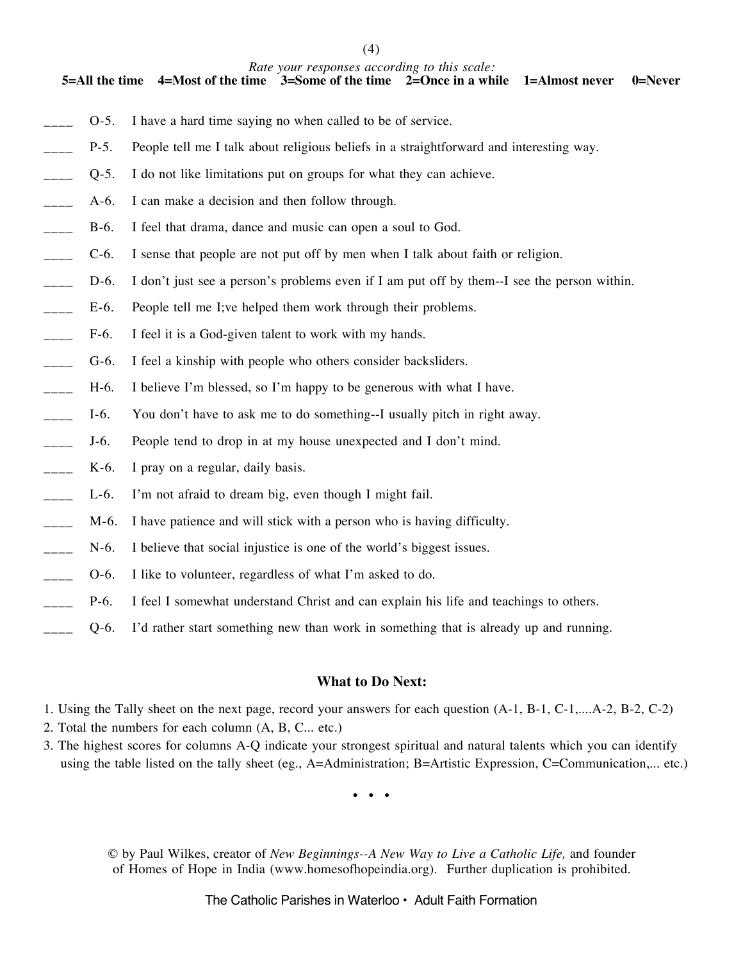(4)

#### *Rate your responses according to this scale:*

**5=All the time 4=Most of the time 3=Some of the time 2=Once in a while 1=Almost never 0=Never**

- \_\_\_\_ O-5. I have a hard time saying no when called to be of service.
- P-5. People tell me I talk about religious beliefs in a straightforward and interesting way.
- \_\_\_\_ Q-5. I do not like limitations put on groups for what they can achieve.
- A-6. I can make a decision and then follow through.
- B-6. I feel that drama, dance and music can open a soul to God.
- \_\_\_\_ C-6. I sense that people are not put off by men when I talk about faith or religion.
- D-6. I don't just see a person's problems even if I am put off by them--I see the person within.
- E-6. People tell me I;ve helped them work through their problems.
- F-6. I feel it is a God-given talent to work with my hands.
- \_\_\_\_ G-6. I feel a kinship with people who others consider backsliders.
- \_\_\_\_ H-6. I believe I'm blessed, so I'm happy to be generous with what I have.
- \_\_\_\_ I-6. You don't have to ask me to do something--I usually pitch in right away.
- \_\_\_\_ J-6. People tend to drop in at my house unexpected and I don't mind.
- $K-6$ . I pray on a regular, daily basis.
- <sub>\_\_\_</sub> L-6. I'm not afraid to dream big, even though I might fail.
- M-6. I have patience and will stick with a person who is having difficulty.
- N-6. I believe that social injustice is one of the world's biggest issues.
- \_\_\_\_ O-6. I like to volunteer, regardless of what I'm asked to do.
- P-6. I feel I somewhat understand Christ and can explain his life and teachings to others.
- \_\_\_\_ Q-6. I'd rather start something new than work in something that is already up and running.

### **What to Do Next:**

- 1. Using the Tally sheet on the next page, record your answers for each question (A-1, B-1, C-1,....A-2, B-2, C-2)
- 2. Total the numbers for each column (A, B, C... etc.)
- 3. The highest scores for columns A-Q indicate your strongest spiritual and natural talents which you can identify using the table listed on the tally sheet (eg., A=Administration; B=Artistic Expression, C=Communication,... etc.)

 $\bullet$   $\bullet$ 

© by Paul Wilkes, creator of *New Beginnings--A New Way to Live a Catholic Life,* and founder of Homes of Hope in India (www.homesofhopeindia.org). Further duplication is prohibited.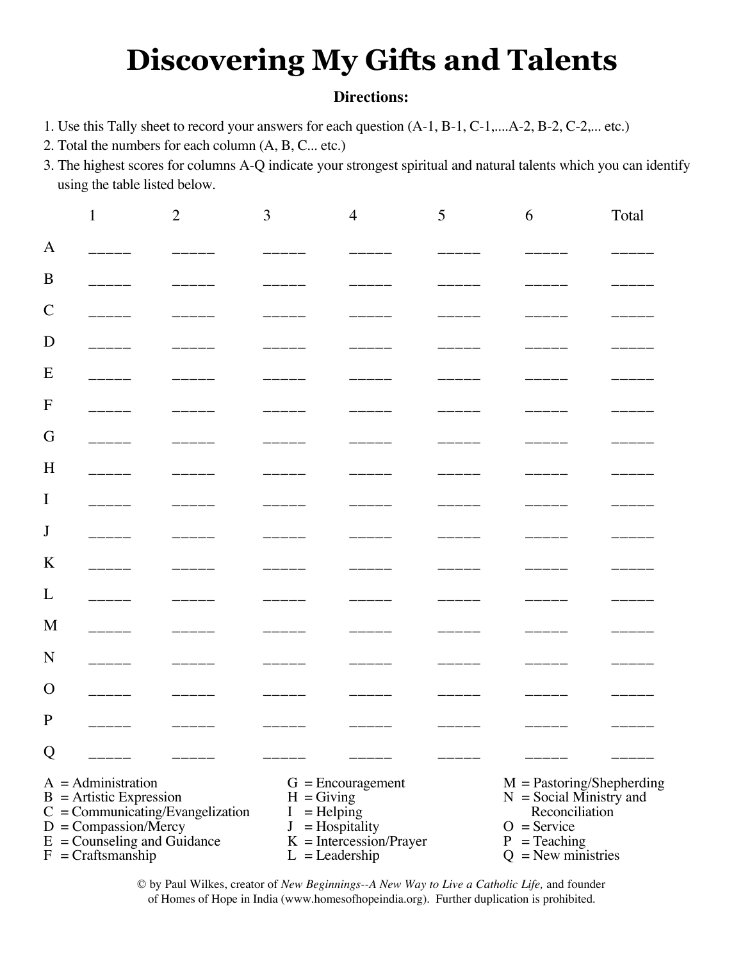# **Discovering My Gifts and Talents**

## **Directions:**

- 1. Use this Tally sheet to record your answers for each question (A-1, B-1, C-1,....A-2, B-2, C-2,... etc.)
- 2. Total the numbers for each column (A, B, C... etc.)
- 3. The highest scores for columns A-Q indicate your strongest spiritual and natural talents which you can identify using the table listed below.

|                                                                                                                                                                                  |  | $\overline{2}$ | 3                                                                                                                                           | $\overline{4}$ | 5 | 6                                                                                                                                     | Total |
|----------------------------------------------------------------------------------------------------------------------------------------------------------------------------------|--|----------------|---------------------------------------------------------------------------------------------------------------------------------------------|----------------|---|---------------------------------------------------------------------------------------------------------------------------------------|-------|
| A                                                                                                                                                                                |  |                |                                                                                                                                             |                |   |                                                                                                                                       |       |
| B                                                                                                                                                                                |  |                |                                                                                                                                             |                |   |                                                                                                                                       |       |
| $\mathcal{C}$                                                                                                                                                                    |  |                |                                                                                                                                             |                |   |                                                                                                                                       |       |
| D                                                                                                                                                                                |  |                |                                                                                                                                             |                |   |                                                                                                                                       |       |
| E                                                                                                                                                                                |  |                |                                                                                                                                             |                |   |                                                                                                                                       |       |
| $\mathbf{F}$                                                                                                                                                                     |  |                |                                                                                                                                             |                |   |                                                                                                                                       |       |
| G                                                                                                                                                                                |  |                |                                                                                                                                             |                |   |                                                                                                                                       |       |
| H                                                                                                                                                                                |  |                |                                                                                                                                             |                |   |                                                                                                                                       |       |
| $\bf{I}$                                                                                                                                                                         |  |                |                                                                                                                                             |                |   |                                                                                                                                       |       |
| J                                                                                                                                                                                |  |                |                                                                                                                                             |                |   |                                                                                                                                       |       |
| K                                                                                                                                                                                |  |                |                                                                                                                                             |                |   |                                                                                                                                       |       |
| L                                                                                                                                                                                |  |                |                                                                                                                                             |                |   |                                                                                                                                       |       |
| M                                                                                                                                                                                |  |                |                                                                                                                                             |                |   |                                                                                                                                       |       |
| N                                                                                                                                                                                |  |                |                                                                                                                                             |                |   |                                                                                                                                       |       |
| $\Omega$                                                                                                                                                                         |  |                |                                                                                                                                             |                |   |                                                                                                                                       |       |
| $\mathbf{P}$                                                                                                                                                                     |  |                |                                                                                                                                             |                |   |                                                                                                                                       |       |
| Q                                                                                                                                                                                |  |                |                                                                                                                                             |                |   |                                                                                                                                       |       |
| $A =$ Administration<br>$B =$ Artistic Expression<br>$C = \text{Communicating/Evangelization}$<br>$D =$ Compassion/Mercy<br>$E =$ Counseling and Guidance<br>$F = Craftsmanship$ |  |                | $G =$ Encouragement<br>$H =$ Giving<br>$=$ Helping<br>I<br>$=$ Hospitality<br>$\mathbf{J}$<br>$K = Intercession/Prayer$<br>$L =$ Leadership |                |   | $M =$ Pastoring/Shepherding<br>$N = Social$ Ministry and<br>Reconciliation<br>$O =$ Service<br>$P = Teaching$<br>$Q =$ New ministries |       |

© by Paul Wilkes, creator of *New Beginnings--A New Way to Live a Catholic Life,* and founder of Homes of Hope in India (www.homesofhopeindia.org). Further duplication is prohibited.